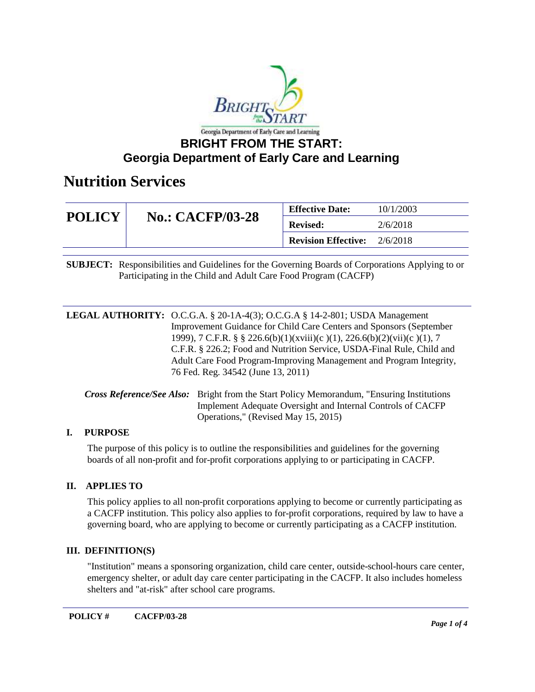

### **Georgia Department of Early Care and Learning**

### **Nutrition Services**

| <b>POLICY</b> | <b>No.: CACFP/03-28</b> | <b>Effective Date:</b>     | 10/1/2003 |
|---------------|-------------------------|----------------------------|-----------|
|               |                         | <b>Revised:</b>            | 2/6/2018  |
|               |                         | <b>Revision Effective:</b> | 2/6/2018  |

**SUBJECT:** Responsibilities and Guidelines for the Governing Boards of Corporations Applying to or Participating in the Child and Adult Care Food Program (CACFP)

**LEGAL AUTHORITY:** O.C.G.A. § 20-1A-4(3); O.C.G.A § 14-2-801; USDA Management Improvement Guidance for Child Care Centers and Sponsors (September 1999), 7 C.F.R. § § 226.6(b)(1)(xviii)(c )(1), 226.6(b)(2)(vii)(c )(1), 7 C.F.R. § 226.2; Food and Nutrition Service, USDA-Final Rule, Child and Adult Care Food Program-Improving Management and Program Integrity, 76 Fed. Reg. 34542 (June 13, 2011)

*Cross Reference/See Also:* Bright from the Start Policy Memorandum, "Ensuring Institutions Implement Adequate Oversight and Internal Controls of CACFP Operations," (Revised May 15, 2015)

#### **I. PURPOSE**

The purpose of this policy is to outline the responsibilities and guidelines for the governing boards of all non-profit and for-profit corporations applying to or participating in CACFP.

### **II. APPLIES TO**

This policy applies to all non-profit corporations applying to become or currently participating as a CACFP institution. This policy also applies to for-profit corporations, required by law to have a governing board, who are applying to become or currently participating as a CACFP institution.

#### **III. DEFINITION(S)**

"Institution" means a sponsoring organization, child care center, outside-school-hours care center, emergency shelter, or adult day care center participating in the CACFP. It also includes homeless shelters and "at-risk" after school care programs.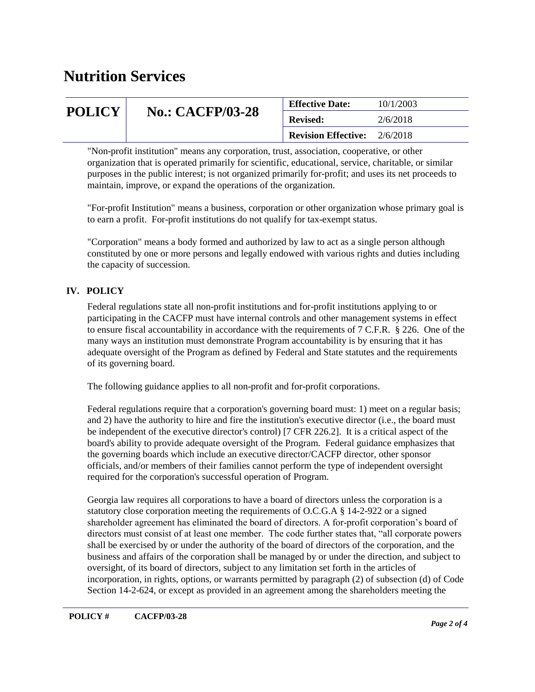# **Nutrition Services**

| <b>POLICY</b> | <b>No.: CACFP/03-28</b> | <b>Effective Date:</b>     | 10/1/2003 |
|---------------|-------------------------|----------------------------|-----------|
|               |                         | <b>Revised:</b>            | 2/6/2018  |
|               |                         | <b>Revision Effective:</b> | 2/6/2018  |

"Non-profit institution" means any corporation, trust, association, cooperative, or other organization that is operated primarily for scientific, educational, service, charitable, or similar purposes in the public interest; is not organized primarily for-profit; and uses its net proceeds to maintain, improve, or expand the operations of the organization.

"For-profit Institution" means a business, corporation or other organization whose primary goal is to earn a profit. For-profit institutions do not qualify for tax-exempt status.

"Corporation" means a body formed and authorized by law to act as a single person although constituted by one or more persons and legally endowed with various rights and duties including the capacity of succession.

#### **IV. POLICY**

Federal regulations state all non-profit institutions and for-profit institutions applying to or participating in the CACFP must have internal controls and other management systems in effect to ensure fiscal accountability in accordance with the requirements of 7 C.F.R. § 226. One of the many ways an institution must demonstrate Program accountability is by ensuring that it has adequate oversight of the Program as defined by Federal and State statutes and the requirements of its governing board.

The following guidance applies to all non-profit and for-profit corporations.

Federal regulations require that a corporation's governing board must: 1) meet on a regular basis; and 2) have the authority to hire and fire the institution's executive director (i.e., the board must be independent of the executive director's control) [7 CFR 226.2]. It is a critical aspect of the board's ability to provide adequate oversight of the Program. Federal guidance emphasizes that the governing boards which include an executive director/CACFP director, other sponsor officials, and/or members of their families cannot perform the type of independent oversight required for the corporation's successful operation of Program.

Georgia law requires all corporations to have a board of directors unless the corporation is a statutory close corporation meeting the requirements of O.C.G.A § 14-2-922 or a signed shareholder agreement has eliminated the board of directors. A for-profit corporation's board of directors must consist of at least one member. The code further states that, "all corporate powers shall be exercised by or under the authority of the board of directors of the corporation, and the business and affairs of the corporation shall be managed by or under the direction, and subject to oversight, of its board of directors, subject to any limitation set forth in the articles of incorporation, in rights, options, or warrants permitted by paragraph (2) of subsection (d) of Code Section 14-2-624, or except as provided in an agreement among the shareholders meeting the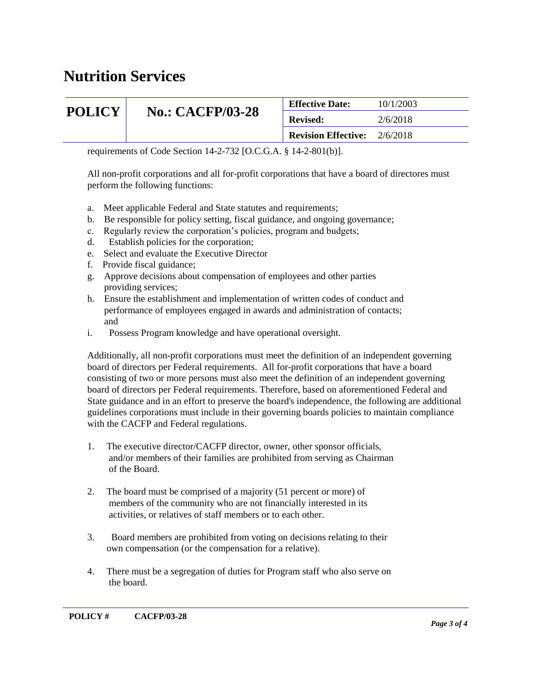# **Nutrition Services**

| <b>POLICY</b> | <b>No.: CACFP/03-28</b> | <b>Effective Date:</b>     | 10/1/2003 |
|---------------|-------------------------|----------------------------|-----------|
|               |                         | <b>Revised:</b>            | 2/6/2018  |
|               |                         | <b>Revision Effective:</b> | 2/6/2018  |

requirements of Code Section 14-2-732 [O.C.G.A. § 14-2-801(b)].

All non-profit corporations and all for-profit corporations that have a board of directores must perform the following functions:

- a. Meet applicable Federal and State statutes and requirements;
- b. Be responsible for policy setting, fiscal guidance, and ongoing governance;
- c. Regularly review the corporation's policies, program and budgets;
- d. Establish policies for the corporation;
- e. Select and evaluate the Executive Director
- f. Provide fiscal guidance;
- g. Approve decisions about compensation of employees and other parties providing services;
- h. Ensure the establishment and implementation of written codes of conduct and performance of employees engaged in awards and administration of contacts; and
- i. Possess Program knowledge and have operational oversight.

Additionally, all non-profit corporations must meet the definition of an independent governing board of directors per Federal requirements. All for-profit corporations that have a board consisting of two or more persons must also meet the definition of an independent governing board of directors per Federal requirements. Therefore, based on aforementioned Federal and State guidance and in an effort to preserve the board's independence, the following are additional guidelines corporations must include in their governing boards policies to maintain compliance with the CACFP and Federal regulations.

- 1. The executive director/CACFP director, owner, other sponsor officials, and/or members of their families are prohibited from serving as Chairman of the Board.
- 2. The board must be comprised of a majority (51 percent or more) of members of the community who are not financially interested in its activities, or relatives of staff members or to each other.
- 3. Board members are prohibited from voting on decisions relating to their own compensation (or the compensation for a relative).
- 4. There must be a segregation of duties for Program staff who also serve on the board.